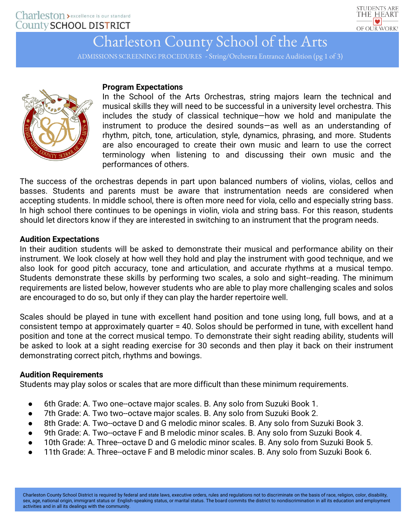

# Charleston County School of the Arts

ADMISSIONS SCREENING PROCEDURES - String/Orchestra Entrance Audition (pg 1 of 3)



## **Program Expectations**

In the School of the Arts Orchestras, string majors learn the technical and musical skills they will need to be successful in a university level orchestra. This includes the study of classical technique—how we hold and manipulate the instrument to produce the desired sounds—as well as an understanding of rhythm, pitch, tone, articulation, style, dynamics, phrasing, and more. Students are also encouraged to create their own music and learn to use the correct terminology when listening to and discussing their own music and the performances of others.

The success of the orchestras depends in part upon balanced numbers of violins, violas, cellos and basses. Students and parents must be aware that instrumentation needs are considered when accepting students. In middle school, there is often more need for viola, cello and especially string bass. In high school there continues to be openings in violin, viola and string bass. For this reason, students should let directors know if they are interested in switching to an instrument that the program needs.

## **Audition Expectations**

In their audition students will be asked to demonstrate their musical and performance ability on their instrument. We look closely at how well they hold and play the instrument with good technique, and we also look for good pitch accuracy, tone and articulation, and accurate rhythms at a musical tempo. Students demonstrate these skills by performing two scales, a solo and sight-reading. The minimum requirements are listed below, however students who are able to play more challenging scales and solos are encouraged to do so, but only if they can play the harder repertoire well.

Scales should be played in tune with excellent hand position and tone using long, full bows, and at a consistent tempo at approximately quarter = 40. Solos should be performed in tune, with excellent hand position and tone at the correct musical tempo. To demonstrate their sight reading ability, students will be asked to look at a sight reading exercise for 30 seconds and then play it back on their instrument demonstrating correct pitch, rhythms and bowings.

## **Audition Requirements**

Students may play solos or scales that are more difficult than these minimum requirements.

- 6th Grade: A. Two one--octave major scales. B. Any solo from Suzuki Book 1.
- 7th Grade: A. Two two--octave major scales. B. Any solo from Suzuki Book 2.
- 8th Grade: A. Two--octave D and G melodic minor scales. B. Any solo from Suzuki Book 3.
- 9th Grade: A. Two--octave F and B melodic minor scales. B. Any solo from Suzuki Book 4.
- 10th Grade: A. Three--octave D and G melodic minor scales. B. Any solo from Suzuki Book 5.
- 11th Grade: A. Three--octave F and B melodic minor scales. B. Any solo from Suzuki Book 6.

Charleston County School District is required by federal and state laws, executive orders, rules and regulations not to discriminate on the basis of race, religion, color, disability, sex, age, national origin, immigrant status or English-speaking status, or marital status. The board commits the district to nondiscrimination in all its education and employment activities and in all its dealings with the community.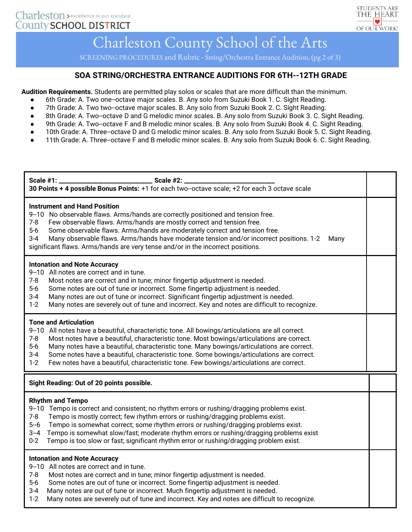

## Charleston County School of the Arts

SCREENING PROCEDURES and Rubric - String/Orchestra Entrance Audition, (pg 2 of 3)

### **SOA STRING/ORCHESTRA ENTRANCE AUDITIONS FOR 6TH-‐12TH GRADE**

**Audition Requirements.** Students are permitted play solos or scales that are more difficult than the minimum.

- 6th Grade: A. Two one--octave major scales. B. Any solo from Suzuki Book 1. C. Sight Reading.
- 7th Grade: A. Two two-octave major scales. B. Any solo from Suzuki Book 2. C. Sight Reading.
- 8th Grade: A. Two--octave D and G melodic minor scales. B. Any solo from Suzuki Book 3. C. Sight Reading.
- 9th Grade: A. Two-octave F and B melodic minor scales. B. Any solo from Suzuki Book 4. C. Sight Reading.
- 10th Grade: A. Three--octave D and G melodic minor scales. B. Any solo from Suzuki Book 5. C. Sight Reading.
- 11th Grade: A. Three--octave F and B melodic minor scales. B. Any solo from Suzuki Book 6. C. Sight Reading.

| Scale #1: _<br>Scale #2: _<br>30 Points + 4 possible Bonus Points: +1 for each two--octave scale; +2 for each 3 octave scale                                                                                                                                                                                                                                                                                                                                                                                                                                 |  |
|--------------------------------------------------------------------------------------------------------------------------------------------------------------------------------------------------------------------------------------------------------------------------------------------------------------------------------------------------------------------------------------------------------------------------------------------------------------------------------------------------------------------------------------------------------------|--|
| <b>Instrument and Hand Position</b><br>9--10 No observable flaws. Arms/hands are correctly positioned and tension free.<br>$7 - 8$<br>Few observable flaws. Arms/hands are mostly correct and tension free.<br>$5-6$<br>Some observable flaws. Arms/hands are moderately correct and tension free.<br>Many observable flaws. Arms/hands have moderate tension and/or incorrect positions. 1-2<br>$3 - 4$<br>Many<br>significant flaws. Arms/hands are very tense and/or in the incorrect positions.                                                          |  |
| <b>Intonation and Note Accuracy</b><br>9--10 All notes are correct and in tune.<br>$7 - 8$<br>Most notes are correct and in tune; minor fingertip adjustment is needed.<br>$5-6$<br>Some notes are out of tune or incorrect. Some fingertip adjustment is needed.<br>$3 - 4$<br>Many notes are out of tune or incorrect. Significant fingertip adjustment is needed.<br>$1 - 2$<br>Many notes are severely out of tune and incorrect. Key and notes are difficult to recognize.                                                                              |  |
| <b>Tone and Articulation</b><br>9-10 All notes have a beautiful, characteristic tone. All bowings/articulations are all correct.<br>$7 - 8$<br>Most notes have a beautiful, characteristic tone. Most bowings/articulations are correct.<br>Many notes have a beautiful, characteristic tone. Many bowings/articulations are correct.<br>$5-6$<br>Some notes have a beautiful, characteristic tone. Some bowings/articulations are correct.<br>$3 - 4$<br>$1 - 2$<br>Few notes have a beautiful, characteristic tone. Few bowings/articulations are correct. |  |
| Sight Reading: Out of 20 points possible.                                                                                                                                                                                                                                                                                                                                                                                                                                                                                                                    |  |
| <b>Rhythm and Tempo</b><br>9--10 Tempo is correct and consistent; no rhythm errors or rushing/dragging problems exist.<br>$7 - 8$<br>Tempo is mostly correct; few rhythm errors or rushing/dragging problems exist.<br>Tempo is somewhat correct; some rhythm errors or rushing/dragging problems exist.<br>$5 - 6$<br>Tempo is somewhat slow/fast; moderate rhythm errors or rushing/dragging problems exist<br>$3 - 4$<br>$0 - 2$<br>Tempo is too slow or fast; significant rhythm error or rushing/dragging problem exist.                                |  |
| <b>Intonation and Note Accuracy</b><br>9--10 All notes are correct and in tune.<br>$7 - 8$<br>Most notes are correct and in tune; minor fingertip adjustment is needed.<br>$5-6$<br>Some notes are out of tune or incorrect. Some fingertip adjustment is needed.<br>$3 - 4$<br>Many notes are out of tune or incorrect. Much fingertip adjustment is needed.<br>$1 - 2$<br>Many notes are severely out of tune and incorrect. Key and notes are difficult to recognize.                                                                                     |  |